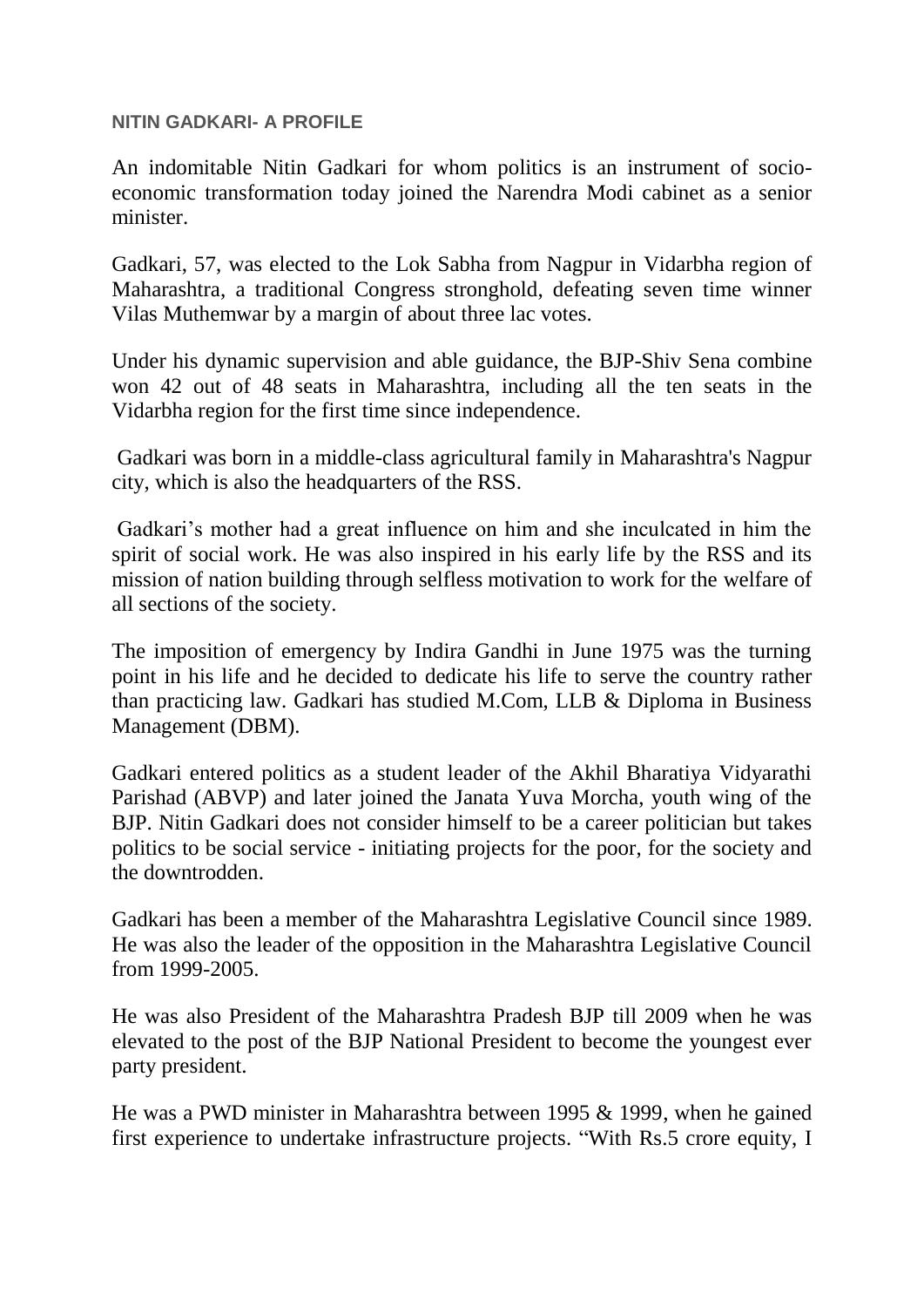## **NITIN GADKARI- A PROFILE**

An indomitable Nitin Gadkari for whom politics is an instrument of socioeconomic transformation today joined the Narendra Modi cabinet as a senior minister.

Gadkari, 57, was elected to the Lok Sabha from Nagpur in Vidarbha region of Maharashtra, a traditional Congress stronghold, defeating seven time winner Vilas Muthemwar by a margin of about three lac votes.

Under his dynamic supervision and able guidance, the BJP-Shiv Sena combine won 42 out of 48 seats in Maharashtra, including all the ten seats in the Vidarbha region for the first time since independence.

Gadkari was born in a middle-class agricultural family in Maharashtra's Nagpur city, which is also the headquarters of the RSS.

Gadkari"s mother had a great influence on him and she inculcated in him the spirit of social work. He was also inspired in his early life by the RSS and its mission of nation building through selfless motivation to work for the welfare of all sections of the society.

The imposition of emergency by Indira Gandhi in June 1975 was the turning point in his life and he decided to dedicate his life to serve the country rather than practicing law. Gadkari has studied M.Com, LLB & Diploma in Business Management (DBM).

Gadkari entered politics as a student leader of the Akhil Bharatiya Vidyarathi Parishad (ABVP) and later joined the Janata Yuva Morcha, youth wing of the BJP. Nitin Gadkari does not consider himself to be a career politician but takes politics to be social service - initiating projects for the poor, for the society and the downtrodden.

Gadkari has been a member of the Maharashtra Legislative Council since 1989. He was also the leader of the opposition in the Maharashtra Legislative Council from 1999-2005.

He was also President of the Maharashtra Pradesh BJP till 2009 when he was elevated to the post of the BJP National President to become the youngest ever party president.

He was a PWD minister in Maharashtra between 1995 & 1999, when he gained first experience to undertake infrastructure projects. "With Rs.5 crore equity, I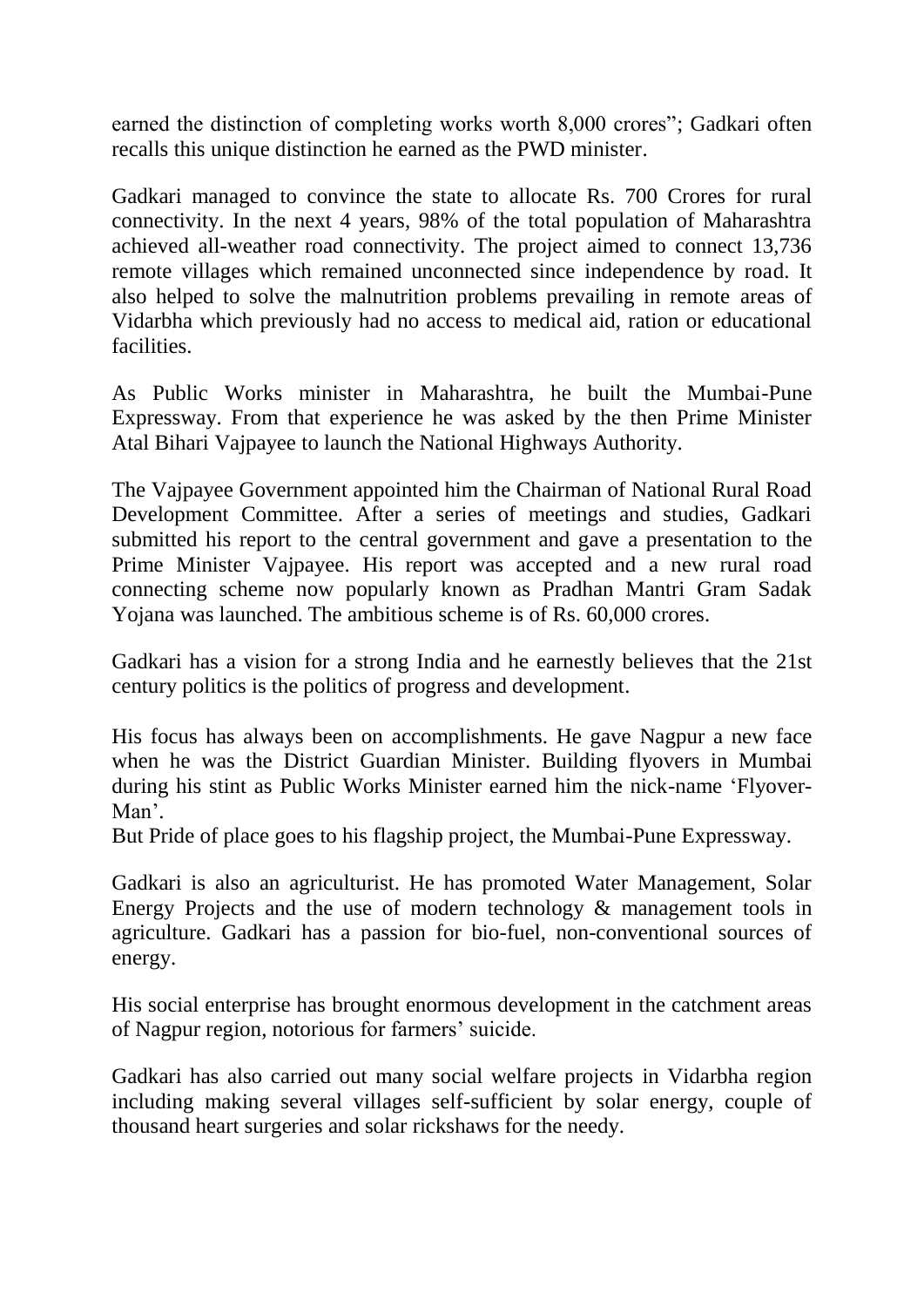earned the distinction of completing works worth 8,000 crores"; Gadkari often recalls this unique distinction he earned as the PWD minister.

Gadkari managed to convince the state to allocate Rs. 700 Crores for rural connectivity. In the next 4 years, 98% of the total population of Maharashtra achieved all-weather road connectivity. The project aimed to connect 13,736 remote villages which remained unconnected since independence by road. It also helped to solve the malnutrition problems prevailing in remote areas of Vidarbha which previously had no access to medical aid, ration or educational facilities.

As Public Works minister in Maharashtra, he built the Mumbai-Pune Expressway. From that experience he was asked by the then Prime Minister Atal Bihari Vajpayee to launch the National Highways Authority.

The Vajpayee Government appointed him the Chairman of National Rural Road Development Committee. After a series of meetings and studies, Gadkari submitted his report to the central government and gave a presentation to the Prime Minister Vajpayee. His report was accepted and a new rural road connecting scheme now popularly known as Pradhan Mantri Gram Sadak Yojana was launched. The ambitious scheme is of Rs. 60,000 crores.

Gadkari has a vision for a strong India and he earnestly believes that the 21st century politics is the politics of progress and development.

His focus has always been on accomplishments. He gave Nagpur a new face when he was the District Guardian Minister. Building flyovers in Mumbai during his stint as Public Works Minister earned him the nick-name "Flyover-Man".

But Pride of place goes to his flagship project, the Mumbai-Pune Expressway.

Gadkari is also an agriculturist. He has promoted Water Management, Solar Energy Projects and the use of modern technology & management tools in agriculture. Gadkari has a passion for bio-fuel, non-conventional sources of energy.

His social enterprise has brought enormous development in the catchment areas of Nagpur region, notorious for farmers" suicide.

Gadkari has also carried out many social welfare projects in Vidarbha region including making several villages self-sufficient by solar energy, couple of thousand heart surgeries and solar rickshaws for the needy.